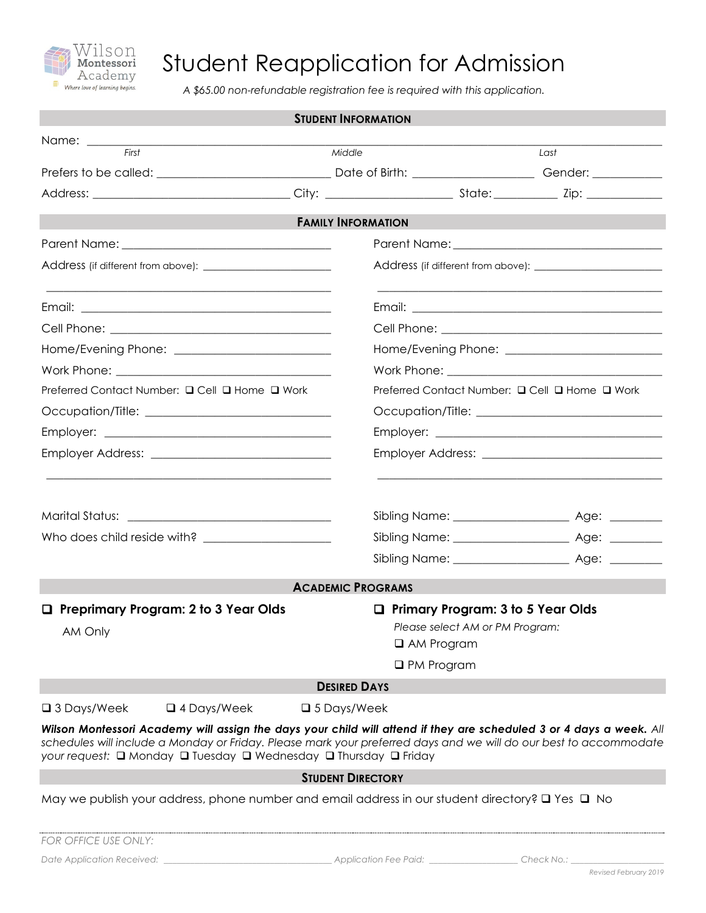

# Student Reapplication for Admission

*A \$65.00 non-refundable registration fee is required with this application.*

|                                                                                                                                                                                                                                                                                                              | <b>STUDENT INFORMATION</b> |                                                                                                                |      |  |
|--------------------------------------------------------------------------------------------------------------------------------------------------------------------------------------------------------------------------------------------------------------------------------------------------------------|----------------------------|----------------------------------------------------------------------------------------------------------------|------|--|
| Name: _________<br><u> 2000 - Jan James James Jan James James James James James James James James James James James James James James Ja</u>                                                                                                                                                                 |                            |                                                                                                                |      |  |
| First                                                                                                                                                                                                                                                                                                        | Middle                     |                                                                                                                | Last |  |
|                                                                                                                                                                                                                                                                                                              |                            |                                                                                                                |      |  |
|                                                                                                                                                                                                                                                                                                              |                            |                                                                                                                |      |  |
|                                                                                                                                                                                                                                                                                                              | <b>FAMILY INFORMATION</b>  |                                                                                                                |      |  |
|                                                                                                                                                                                                                                                                                                              |                            |                                                                                                                |      |  |
|                                                                                                                                                                                                                                                                                                              |                            |                                                                                                                |      |  |
|                                                                                                                                                                                                                                                                                                              |                            |                                                                                                                |      |  |
|                                                                                                                                                                                                                                                                                                              |                            |                                                                                                                |      |  |
|                                                                                                                                                                                                                                                                                                              |                            |                                                                                                                |      |  |
|                                                                                                                                                                                                                                                                                                              |                            |                                                                                                                |      |  |
| Preferred Contact Number: □ Cell □ Home □ Work<br>Preferred Contact Number: □ Cell □ Home □ Work                                                                                                                                                                                                             |                            |                                                                                                                |      |  |
|                                                                                                                                                                                                                                                                                                              |                            |                                                                                                                |      |  |
|                                                                                                                                                                                                                                                                                                              |                            |                                                                                                                |      |  |
|                                                                                                                                                                                                                                                                                                              |                            |                                                                                                                |      |  |
|                                                                                                                                                                                                                                                                                                              |                            |                                                                                                                |      |  |
|                                                                                                                                                                                                                                                                                                              | <b>ACADEMIC PROGRAMS</b>   |                                                                                                                |      |  |
| $\Box$ Preprimary Program: 2 to 3 Year Olds<br>AM Only                                                                                                                                                                                                                                                       |                            | Primary Program: 3 to 5 Year Olds<br>Please select AM or PM Program:<br>$\Box$ AM Program<br>$\Box$ PM Program |      |  |
|                                                                                                                                                                                                                                                                                                              | <b>DESIRED DAYS</b>        |                                                                                                                |      |  |
| $\Box$ 4 Days/Week<br>$\square$ 3 Days/Week                                                                                                                                                                                                                                                                  | $\square$ 5 Days/Week      |                                                                                                                |      |  |
| Wilson Montessori Academy will assign the days your child will attend if they are scheduled 3 or 4 days a week. All<br>schedules will include a Monday or Friday. Please mark your preferred days and we will do our best to accommodate<br>your request: □ Monday □ Tuesday □ Wednesday □ Thursday □ Friday |                            |                                                                                                                |      |  |
|                                                                                                                                                                                                                                                                                                              | <b>STUDENT DIRECTORY</b>   |                                                                                                                |      |  |
| May we publish your address, phone number and email address in our student directory? $\square$ Yes $\square$ No                                                                                                                                                                                             |                            |                                                                                                                |      |  |

*FOR OFFICE USE ONLY:*

*Date Application Received: \_\_\_\_\_\_\_\_\_\_\_\_\_\_\_\_\_\_\_\_\_\_\_\_\_\_\_\_\_\_\_\_\_\_\_\_\_\_ Application Fee Paid: \_\_\_\_\_\_\_\_\_\_\_\_\_\_\_\_\_\_\_\_ Check No.: \_\_\_\_\_\_\_\_\_\_\_\_\_\_\_\_\_\_\_\_\_*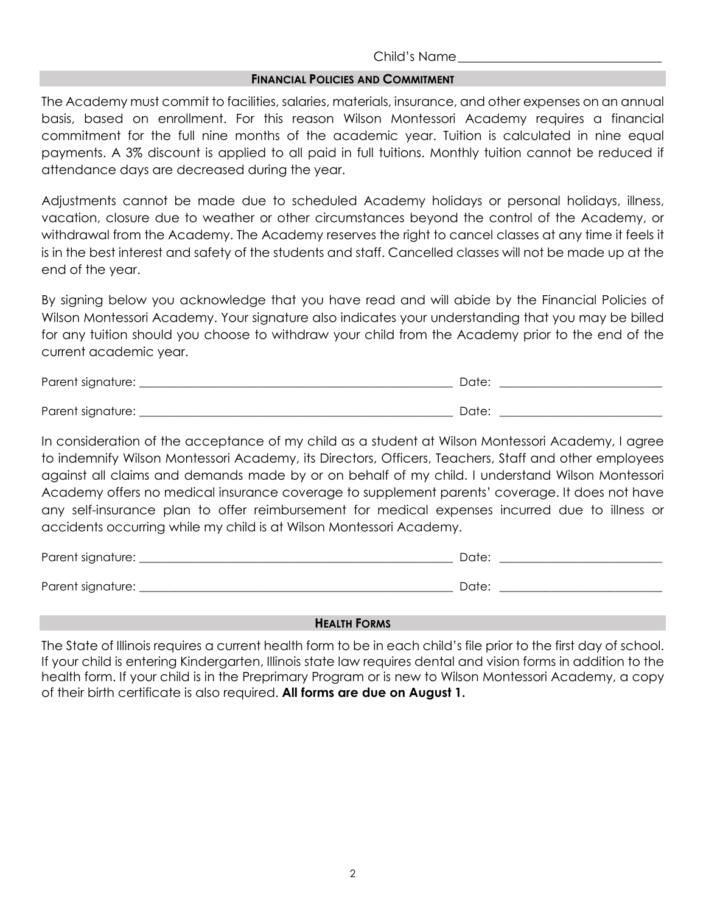## Child's Name\_\_\_\_\_\_\_\_\_\_\_\_\_\_\_\_\_\_\_\_\_\_\_\_\_\_\_\_\_\_\_\_

## **FINANCIAL POLICIES AND COMMITMENT**

The Academy must commit to facilities, salaries, materials, insurance, and other expenses on an annual basis, based on enrollment. For this reason Wilson Montessori Academy requires a financial commitment for the full nine months of the academic year. Tuition is calculated in nine equal payments. A 3% discount is applied to all paid in full tuitions. Monthly tuition cannot be reduced if attendance days are decreased during the year.

Adjustments cannot be made due to scheduled Academy holidays or personal holidays, illness, vacation, closure due to weather or other circumstances beyond the control of the Academy, or withdrawal from the Academy. The Academy reserves the right to cancel classes at any time it feels it is in the best interest and safety of the students and staff. Cancelled classes will not be made up at the end of the year.

By signing below you acknowledge that you have read and will abide by the Financial Policies of Wilson Montessori Academy. Your signature also indicates your understanding that you may be billed for any tuition should you choose to withdraw your child from the Academy prior to the end of the current academic year.

Parent signature: \_\_\_\_\_\_\_\_\_\_\_\_\_\_\_\_\_\_\_\_\_\_\_\_\_\_\_\_\_\_\_\_\_\_\_\_\_\_\_\_\_\_\_\_\_\_\_\_\_\_\_\_\_\_ Date: \_\_\_\_\_\_\_\_\_\_\_\_\_\_\_\_\_\_\_\_\_\_\_\_\_\_\_\_

Parent signature: \_\_\_\_\_\_\_\_\_\_\_\_\_\_\_\_\_\_\_\_\_\_\_\_\_\_\_\_\_\_\_\_\_\_\_\_\_\_\_\_\_\_\_\_\_\_\_\_\_\_\_\_\_\_ Date: \_\_\_\_\_\_\_\_\_\_\_\_\_\_\_\_\_\_\_\_\_\_\_\_\_\_\_\_

In consideration of the acceptance of my child as a student at Wilson Montessori Academy, I agree to indemnify Wilson Montessori Academy, its Directors, Officers, Teachers, Staff and other employees against all claims and demands made by or on behalf of my child. I understand Wilson Montessori Academy offers no medical insurance coverage to supplement parents' coverage. It does not have any self-insurance plan to offer reimbursement for medical expenses incurred due to illness or accidents occurring while my child is at Wilson Montessori Academy.

| Parent signature: | Date: |
|-------------------|-------|
|                   |       |
| Parent signature: | Date: |

# **HEALTH FORMS**

The State of Illinois requires a current health form to be in each child's file prior to the first day of school. If your child is entering Kindergarten, Illinois state law requires dental and vision forms in addition to the health form. If your child is in the Preprimary Program or is new to Wilson Montessori Academy, a copy of their birth certificate is also required. **All forms are due on August 1.**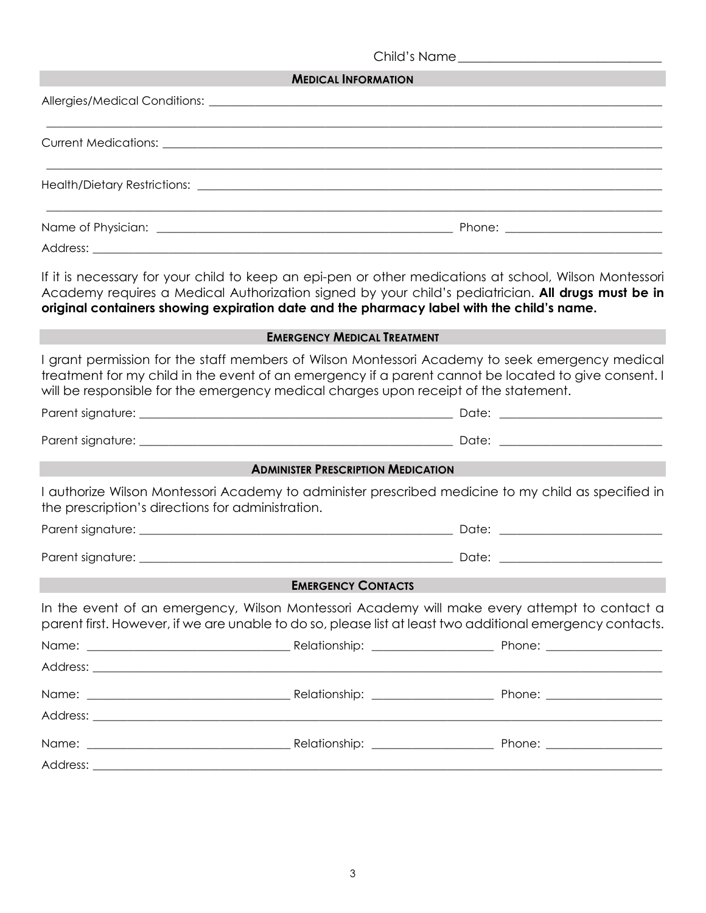|                                                   | <b>MEDICAL INFORMATION</b>                                                                |                                                                                                                                                                                                              |
|---------------------------------------------------|-------------------------------------------------------------------------------------------|--------------------------------------------------------------------------------------------------------------------------------------------------------------------------------------------------------------|
|                                                   |                                                                                           |                                                                                                                                                                                                              |
|                                                   |                                                                                           |                                                                                                                                                                                                              |
|                                                   |                                                                                           |                                                                                                                                                                                                              |
|                                                   |                                                                                           |                                                                                                                                                                                                              |
|                                                   |                                                                                           |                                                                                                                                                                                                              |
|                                                   | original containers showing expiration date and the pharmacy label with the child's name. | If it is necessary for your child to keep an epi-pen or other medications at school, Wilson Montessori<br>Academy requires a Medical Authorization signed by your child's pediatrician. All drugs must be in |
|                                                   | <b>EMERGENCY MEDICAL TREATMENT</b>                                                        |                                                                                                                                                                                                              |
|                                                   | will be responsible for the emergency medical charges upon receipt of the statement.      | I grant permission for the staff members of Wilson Montessori Academy to seek emergency medical<br>treatment for my child in the event of an emergency if a parent cannot be located to give consent. I      |
|                                                   |                                                                                           |                                                                                                                                                                                                              |
|                                                   |                                                                                           |                                                                                                                                                                                                              |
|                                                   | <b>ADMINISTER PRESCRIPTION MEDICATION</b>                                                 |                                                                                                                                                                                                              |
| the prescription's directions for administration. |                                                                                           | I authorize Wilson Montessori Academy to administer prescribed medicine to my child as specified in                                                                                                          |
|                                                   |                                                                                           |                                                                                                                                                                                                              |
|                                                   |                                                                                           |                                                                                                                                                                                                              |
|                                                   | <b>EMERGENCY CONTACTS</b>                                                                 |                                                                                                                                                                                                              |
|                                                   |                                                                                           | In the event of an emergency, Wilson Montessori Academy will make every attempt to contact a<br>parent first. However, if we are unable to do so, please list at least two additional emergency contacts.    |
|                                                   |                                                                                           |                                                                                                                                                                                                              |
|                                                   |                                                                                           |                                                                                                                                                                                                              |
|                                                   |                                                                                           |                                                                                                                                                                                                              |
|                                                   |                                                                                           |                                                                                                                                                                                                              |
|                                                   |                                                                                           |                                                                                                                                                                                                              |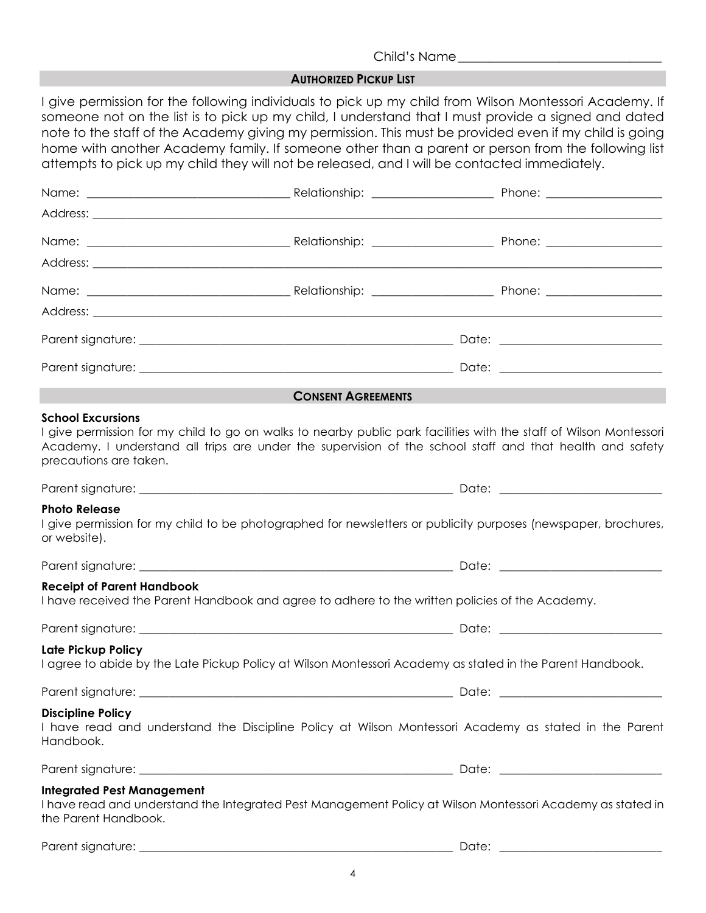### Child's Name\_\_\_\_\_\_\_\_\_\_\_\_\_\_\_\_\_\_\_\_\_\_\_\_\_\_\_\_\_\_\_\_

#### **AUTHORIZED PICKUP LIST**

I give permission for the following individuals to pick up my child from Wilson Montessori Academy. If someone not on the list is to pick up my child, I understand that I must provide a signed and dated note to the staff of the Academy giving my permission. This must be provided even if my child is going home with another Academy family. If someone other than a parent or person from the following list attempts to pick up my child they will not be released, and I will be contacted immediately.

|                                                           | <b>CONSENT AGREEMENTS</b>                                                                                                                                                                                                      |  |
|-----------------------------------------------------------|--------------------------------------------------------------------------------------------------------------------------------------------------------------------------------------------------------------------------------|--|
| <b>School Excursions</b><br>precautions are taken.        | I give permission for my child to go on walks to nearby public park facilities with the staff of Wilson Montessori<br>Academy. I understand all trips are under the supervision of the school staff and that health and safety |  |
|                                                           |                                                                                                                                                                                                                                |  |
| <b>Photo Release</b><br>or website).                      | I give permission for my child to be photographed for newsletters or publicity purposes (newspaper, brochures,                                                                                                                 |  |
|                                                           |                                                                                                                                                                                                                                |  |
| <b>Receipt of Parent Handbook</b>                         | I have received the Parent Handbook and agree to adhere to the written policies of the Academy.                                                                                                                                |  |
|                                                           |                                                                                                                                                                                                                                |  |
| Late Pickup Policy                                        | I agree to abide by the Late Pickup Policy at Wilson Montessori Academy as stated in the Parent Handbook.                                                                                                                      |  |
|                                                           |                                                                                                                                                                                                                                |  |
| <b>Discipline Policy</b><br>Handbook.                     | I have read and understand the Discipline Policy at Wilson Montessori Academy as stated in the Parent                                                                                                                          |  |
|                                                           |                                                                                                                                                                                                                                |  |
| <b>Integrated Pest Management</b><br>the Parent Handbook. | I have read and understand the Integrated Pest Management Policy at Wilson Montessori Academy as stated in                                                                                                                     |  |
|                                                           |                                                                                                                                                                                                                                |  |